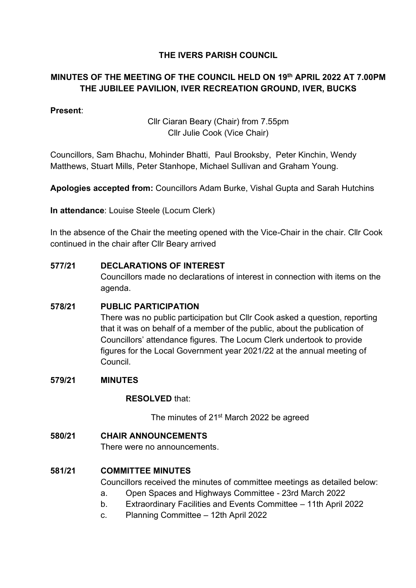# **THE IVERS PARISH COUNCIL**

# **MINUTES OF THE MEETING OF THE COUNCIL HELD ON 19th APRIL 2022 AT 7.00PM THE JUBILEE PAVILION, IVER RECREATION GROUND, IVER, BUCKS**

# **Present**:

Cllr Ciaran Beary (Chair) from 7.55pm Cllr Julie Cook (Vice Chair)

Councillors, Sam Bhachu, Mohinder Bhatti, Paul Brooksby, Peter Kinchin, Wendy Matthews, Stuart Mills, Peter Stanhope, Michael Sullivan and Graham Young.

**Apologies accepted from:** Councillors Adam Burke, Vishal Gupta and Sarah Hutchins

**In attendance**: Louise Steele (Locum Clerk)

In the absence of the Chair the meeting opened with the Vice-Chair in the chair. Cllr Cook continued in the chair after Cllr Beary arrived

#### **577/21 DECLARATIONS OF INTEREST**

Councillors made no declarations of interest in connection with items on the agenda.

#### **578/21 PUBLIC PARTICIPATION**

There was no public participation but Cllr Cook asked a question, reporting that it was on behalf of a member of the public, about the publication of Councillors' attendance figures. The Locum Clerk undertook to provide figures for the Local Government year 2021/22 at the annual meeting of Council.

#### **579/21 MINUTES**

#### **RESOLVED** that:

The minutes of 21<sup>st</sup> March 2022 be agreed

#### **580/21 CHAIR ANNOUNCEMENTS**

There were no announcements.

#### **581/21 COMMITTEE MINUTES**

Councillors received the minutes of committee meetings as detailed below:

- a. Open Spaces and Highways Committee 23rd March 2022
- b. Extraordinary Facilities and Events Committee 11th April 2022
- c. Planning Committee 12th April 2022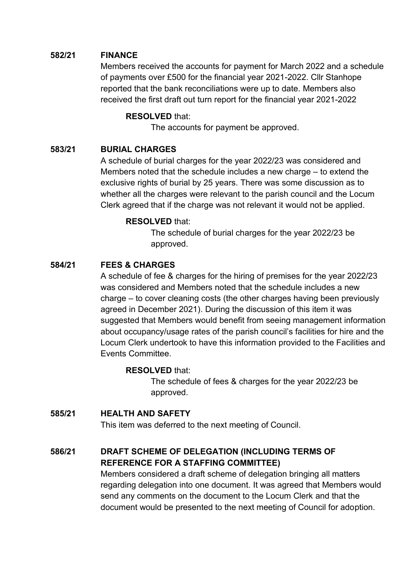## **582/21 FINANCE**

Members received the accounts for payment for March 2022 and a schedule of payments over £500 for the financial year 2021-2022. Cllr Stanhope reported that the bank reconciliations were up to date. Members also received the first draft out turn report for the financial year 2021-2022

#### **RESOLVED** that:

The accounts for payment be approved.

#### **583/21 BURIAL CHARGES**

A schedule of burial charges for the year 2022/23 was considered and Members noted that the schedule includes a new charge – to extend the exclusive rights of burial by 25 years. There was some discussion as to whether all the charges were relevant to the parish council and the Locum Clerk agreed that if the charge was not relevant it would not be applied.

#### **RESOLVED** that:

The schedule of burial charges for the year 2022/23 be approved.

# **584/21 FEES & CHARGES**

A schedule of fee & charges for the hiring of premises for the year 2022/23 was considered and Members noted that the schedule includes a new charge – to cover cleaning costs (the other charges having been previously agreed in December 2021). During the discussion of this item it was suggested that Members would benefit from seeing management information about occupancy/usage rates of the parish council's facilities for hire and the Locum Clerk undertook to have this information provided to the Facilities and Events Committee.

#### **RESOLVED** that:

The schedule of fees & charges for the year 2022/23 be approved.

# **585/21 HEALTH AND SAFETY**

This item was deferred to the next meeting of Council.

# **586/21 DRAFT SCHEME OF DELEGATION (INCLUDING TERMS OF REFERENCE FOR A STAFFING COMMITTEE)**

Members considered a draft scheme of delegation bringing all matters regarding delegation into one document. It was agreed that Members would send any comments on the document to the Locum Clerk and that the document would be presented to the next meeting of Council for adoption.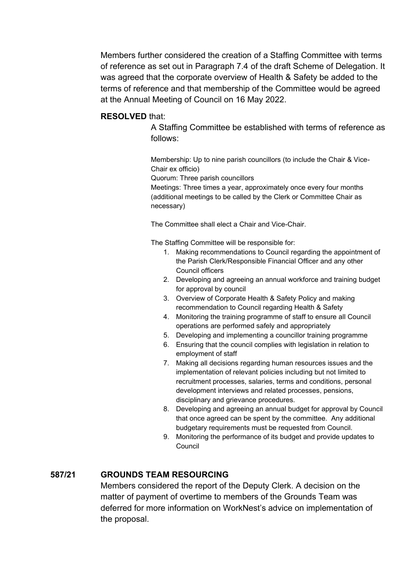Members further considered the creation of a Staffing Committee with terms of reference as set out in Paragraph 7.4 of the draft Scheme of Delegation. It was agreed that the corporate overview of Health & Safety be added to the terms of reference and that membership of the Committee would be agreed at the Annual Meeting of Council on 16 May 2022.

#### **RESOLVED** that:

A Staffing Committee be established with terms of reference as follows:

Membership: Up to nine parish councillors (to include the Chair & Vice-Chair ex officio)

Quorum: Three parish councillors

Meetings: Three times a year, approximately once every four months (additional meetings to be called by the Clerk or Committee Chair as necessary)

The Committee shall elect a Chair and Vice-Chair.

The Staffing Committee will be responsible for:

- 1. Making recommendations to Council regarding the appointment of the Parish Clerk/Responsible Financial Officer and any other Council officers
- 2. Developing and agreeing an annual workforce and training budget for approval by council
- 3. Overview of Corporate Health & Safety Policy and making recommendation to Council regarding Health & Safety
- 4. Monitoring the training programme of staff to ensure all Council operations are performed safely and appropriately
- 5. Developing and implementing a councillor training programme
- 6. Ensuring that the council complies with legislation in relation to employment of staff
- 7. Making all decisions regarding human resources issues and the implementation of relevant policies including but not limited to recruitment processes, salaries, terms and conditions, personal development interviews and related processes, pensions, disciplinary and grievance procedures.
- 8. Developing and agreeing an annual budget for approval by Council that once agreed can be spent by the committee. Any additional budgetary requirements must be requested from Council.
- 9. Monitoring the performance of its budget and provide updates to Council

# **587/21 GROUNDS TEAM RESOURCING**

Members considered the report of the Deputy Clerk. A decision on the matter of payment of overtime to members of the Grounds Team was deferred for more information on WorkNest's advice on implementation of the proposal.